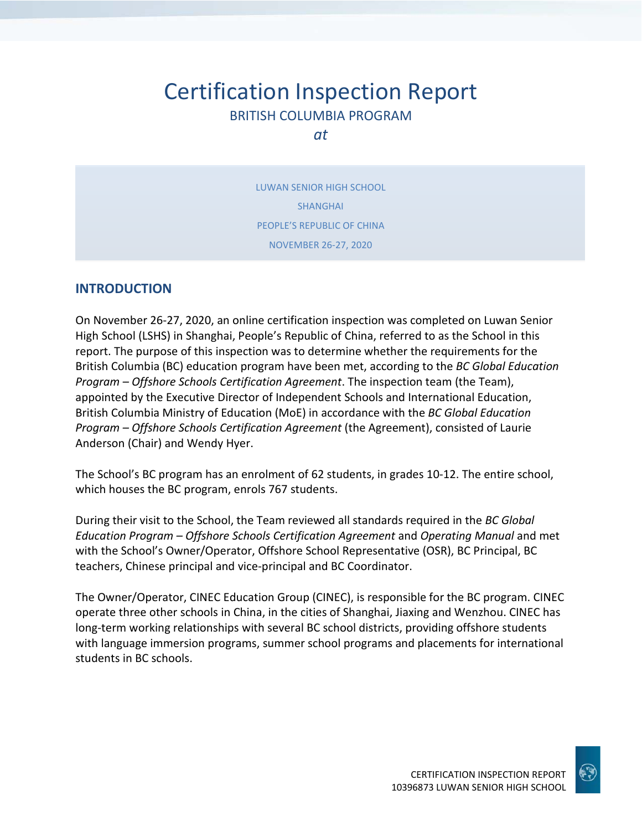# Certification Inspection Report BRITISH COLUMBIA PROGRAM

*at*

LUWAN SENIOR HIGH SCHOOL SHANGHAI PEOPLE'S REPUBLIC OF CHINA NOVEMBER 26-27, 2020

### **INTRODUCTION**

On November 26-27, 2020, an online certification inspection was completed on Luwan Senior High School (LSHS) in Shanghai, People's Republic of China, referred to as the School in this report. The purpose of this inspection was to determine whether the requirements for the British Columbia (BC) education program have been met, according to the *BC Global Education Program – Offshore Schools Certification Agreement*. The inspection team (the Team), appointed by the Executive Director of Independent Schools and International Education, British Columbia Ministry of Education (MoE) in accordance with the *BC Global Education Program – Offshore Schools Certification Agreement* (the Agreement), consisted of Laurie Anderson (Chair) and Wendy Hyer.

The School's BC program has an enrolment of 62 students, in grades 10-12. The entire school, which houses the BC program, enrols 767 students.

During their visit to the School, the Team reviewed all standards required in the *BC Global Education Program – Offshore Schools Certification Agreement* and *Operating Manual* and met with the School's Owner/Operator, Offshore School Representative (OSR), BC Principal, BC teachers, Chinese principal and vice-principal and BC Coordinator.

The Owner/Operator, CINEC Education Group (CINEC), is responsible for the BC program. CINEC operate three other schools in China, in the cities of Shanghai, Jiaxing and Wenzhou. CINEC has long-term working relationships with several BC school districts, providing offshore students with language immersion programs, summer school programs and placements for international students in BC schools.

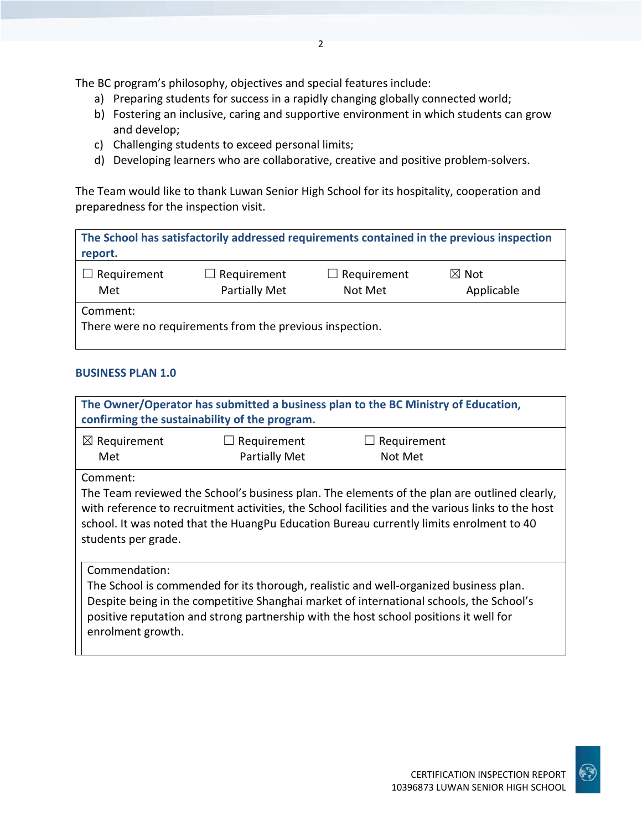The BC program's philosophy, objectives and special features include:

- a) Preparing students for success in a rapidly changing globally connected world;
- b) Fostering an inclusive, caring and supportive environment in which students can grow and develop;
- c) Challenging students to exceed personal limits;
- d) Developing learners who are collaborative, creative and positive problem-solvers.

The Team would like to thank Luwan Senior High School for its hospitality, cooperation and preparedness for the inspection visit.

| The School has satisfactorily addressed requirements contained in the previous inspection<br>report. |                                     |                               |                               |
|------------------------------------------------------------------------------------------------------|-------------------------------------|-------------------------------|-------------------------------|
| Requirement<br>Met                                                                                   | $\Box$ Requirement<br>Partially Met | $\Box$ Requirement<br>Not Met | $\boxtimes$ Not<br>Applicable |
| Comment:<br>There were no requirements from the previous inspection.                                 |                                     |                               |                               |

### **BUSINESS PLAN 1.0**

| The Owner/Operator has submitted a business plan to the BC Ministry of Education,<br>confirming the sustainability of the program.                                                                                                                                                                                              |                                     |                        |  |
|---------------------------------------------------------------------------------------------------------------------------------------------------------------------------------------------------------------------------------------------------------------------------------------------------------------------------------|-------------------------------------|------------------------|--|
| $\boxtimes$ Requirement<br>Met                                                                                                                                                                                                                                                                                                  | Requirement<br><b>Partially Met</b> | Requirement<br>Not Met |  |
| Comment:<br>The Team reviewed the School's business plan. The elements of the plan are outlined clearly,<br>with reference to recruitment activities, the School facilities and the various links to the host<br>school. It was noted that the HuangPu Education Bureau currently limits enrolment to 40<br>students per grade. |                                     |                        |  |
| Commendation:<br>The School is commended for its thorough, realistic and well-organized business plan.<br>Despite being in the competitive Shanghai market of international schools, the School's<br>positive reputation and strong partnership with the host school positions it well for<br>enrolment growth.                 |                                     |                        |  |

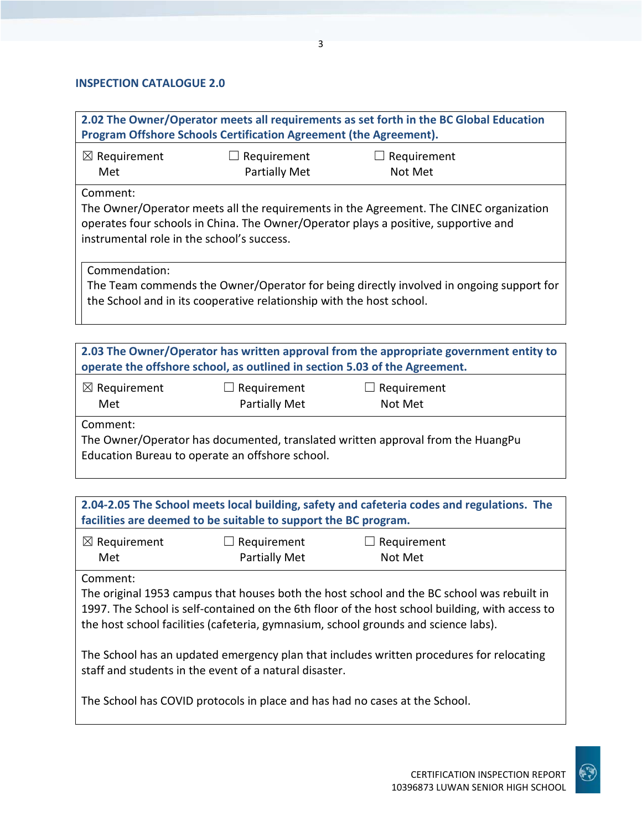### **INSPECTION CATALOGUE 2.0**

|                                                                                                                                                                                                                                                                                                  | Program Offshore Schools Certification Agreement (the Agreement).          | 2.02 The Owner/Operator meets all requirements as set forth in the BC Global Education                                                                                        |  |
|--------------------------------------------------------------------------------------------------------------------------------------------------------------------------------------------------------------------------------------------------------------------------------------------------|----------------------------------------------------------------------------|-------------------------------------------------------------------------------------------------------------------------------------------------------------------------------|--|
| $\boxtimes$ Requirement<br>Met                                                                                                                                                                                                                                                                   | $\Box$ Requirement<br><b>Partially Met</b>                                 | Requirement<br>Not Met                                                                                                                                                        |  |
| Comment:<br>instrumental role in the school's success.                                                                                                                                                                                                                                           |                                                                            | The Owner/Operator meets all the requirements in the Agreement. The CINEC organization<br>operates four schools in China. The Owner/Operator plays a positive, supportive and |  |
| Commendation:                                                                                                                                                                                                                                                                                    | the School and in its cooperative relationship with the host school.       | The Team commends the Owner/Operator for being directly involved in ongoing support for                                                                                       |  |
|                                                                                                                                                                                                                                                                                                  | operate the offshore school, as outlined in section 5.03 of the Agreement. | 2.03 The Owner/Operator has written approval from the appropriate government entity to                                                                                        |  |
| $\boxtimes$ Requirement<br>Met                                                                                                                                                                                                                                                                   | Requirement<br><b>Partially Met</b>                                        | $\Box$ Requirement<br>Not Met                                                                                                                                                 |  |
| Comment:                                                                                                                                                                                                                                                                                         | Education Bureau to operate an offshore school.                            | The Owner/Operator has documented, translated written approval from the HuangPu                                                                                               |  |
|                                                                                                                                                                                                                                                                                                  | facilities are deemed to be suitable to support the BC program.            | 2.04-2.05 The School meets local building, safety and cafeteria codes and regulations. The                                                                                    |  |
| $\boxtimes$ Requirement<br>Met                                                                                                                                                                                                                                                                   | $\Box$ Requirement<br><b>Partially Met</b>                                 | $\Box$ Requirement<br>Not Met                                                                                                                                                 |  |
| Comment:<br>The original 1953 campus that houses both the host school and the BC school was rebuilt in<br>1997. The School is self-contained on the 6th floor of the host school building, with access to<br>the host school facilities (cafeteria, gymnasium, school grounds and science labs). |                                                                            |                                                                                                                                                                               |  |
| The School has an updated emergency plan that includes written procedures for relocating<br>staff and students in the event of a natural disaster.                                                                                                                                               |                                                                            |                                                                                                                                                                               |  |
|                                                                                                                                                                                                                                                                                                  |                                                                            | The School has COVID protocols in place and has had no cases at the School.                                                                                                   |  |

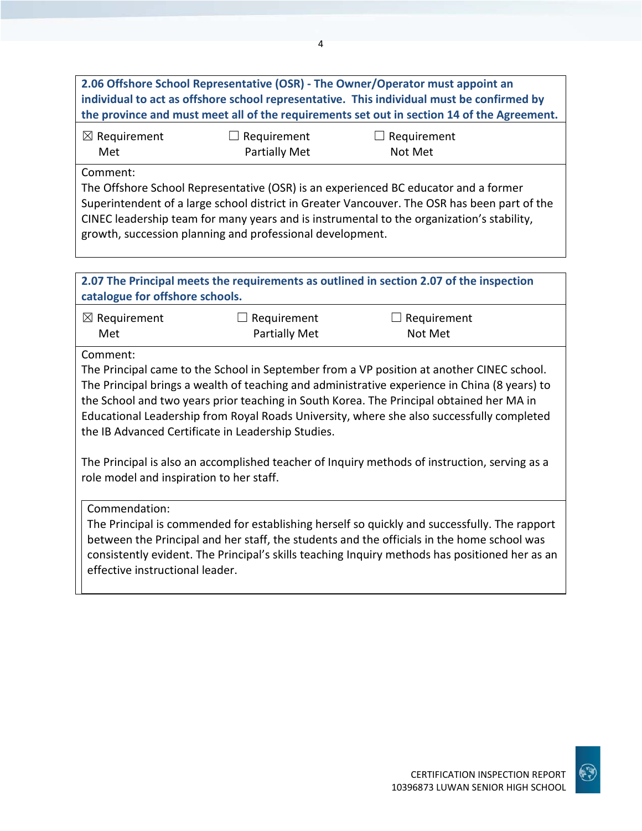**2.06 Offshore School Representative (OSR) - The Owner/Operator must appoint an individual to act as offshore school representative. This individual must be confirmed by the province and must meet all of the requirements set out in section 14 of the Agreement.** ☒ Requirement Met ☐ Requirement Partially Met  $\Box$  Requirement Not Met Comment: The Offshore School Representative (OSR) is an experienced BC educator and a former Superintendent of a large school district in Greater Vancouver. The OSR has been part of the CINEC leadership team for many years and is instrumental to the organization's stability, growth, succession planning and professional development. **2.07 The Principal meets the requirements as outlined in section 2.07 of the inspection catalogue for offshore schools.** ☒ Requirement  $\Box$  Requirement

Met

 $\Box$  Requirement Partially Met

Not Met

Comment:

The Principal came to the School in September from a VP position at another CINEC school. The Principal brings a wealth of teaching and administrative experience in China (8 years) to the School and two years prior teaching in South Korea. The Principal obtained her MA in Educational Leadership from Royal Roads University, where she also successfully completed the IB Advanced Certificate in Leadership Studies.

The Principal is also an accomplished teacher of Inquiry methods of instruction, serving as a role model and inspiration to her staff.

Commendation:

The Principal is commended for establishing herself so quickly and successfully. The rapport between the Principal and her staff, the students and the officials in the home school was consistently evident. The Principal's skills teaching Inquiry methods has positioned her as an effective instructional leader.

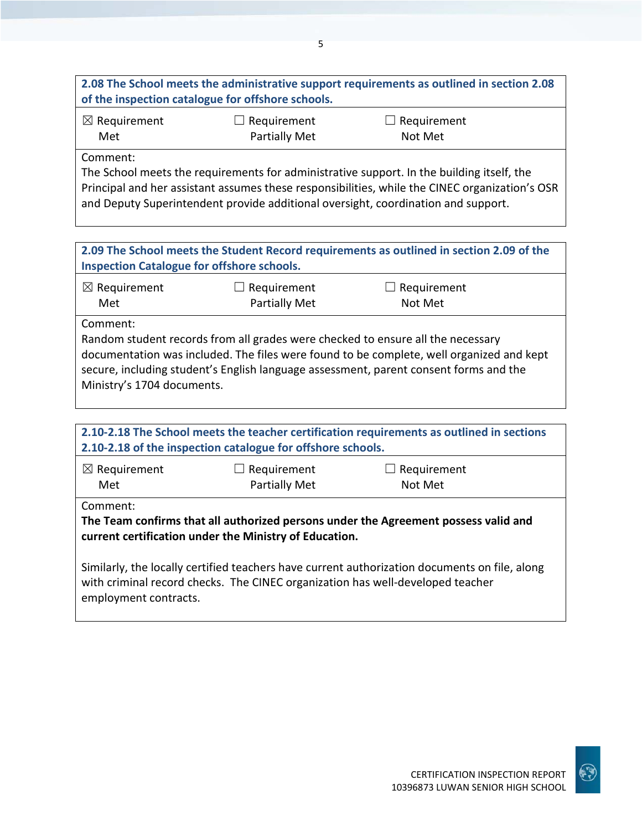**2.08 The School meets the administrative support requirements as outlined in section 2.08 of the inspection catalogue for offshore schools.**

| $\boxtimes$ Requirement | $\Box$ Requirement   | $\Box$ Requirement |
|-------------------------|----------------------|--------------------|
| Met                     | <b>Partially Met</b> | Not Met            |

Comment:

The School meets the requirements for administrative support. In the building itself, the Principal and her assistant assumes these responsibilities, while the CINEC organization's OSR and Deputy Superintendent provide additional oversight, coordination and support.

**2.09 The School meets the Student Record requirements as outlined in section 2.09 of the Inspection Catalogue for offshore schools.**

| $\boxtimes$ Requirement | $\Box$ Requirement   | $\Box$ Requirement |
|-------------------------|----------------------|--------------------|
| Met                     | <b>Partially Met</b> | Not Met            |

Comment:

Random student records from all grades were checked to ensure all the necessary documentation was included. The files were found to be complete, well organized and kept secure, including student's English language assessment, parent consent forms and the Ministry's 1704 documents.

| 2.10-2.18 The School meets the teacher certification requirements as outlined in sections<br>2.10-2.18 of the inspection catalogue for offshore schools.                                                 |                                     |                               |  |
|----------------------------------------------------------------------------------------------------------------------------------------------------------------------------------------------------------|-------------------------------------|-------------------------------|--|
| $\boxtimes$ Requirement<br>Met                                                                                                                                                                           | $\Box$ Requirement<br>Partially Met | $\Box$ Requirement<br>Not Met |  |
| Comment:<br>The Team confirms that all authorized persons under the Agreement possess valid and<br>current certification under the Ministry of Education.                                                |                                     |                               |  |
| Similarly, the locally certified teachers have current authorization documents on file, along<br>with criminal record checks. The CINEC organization has well-developed teacher<br>employment contracts. |                                     |                               |  |

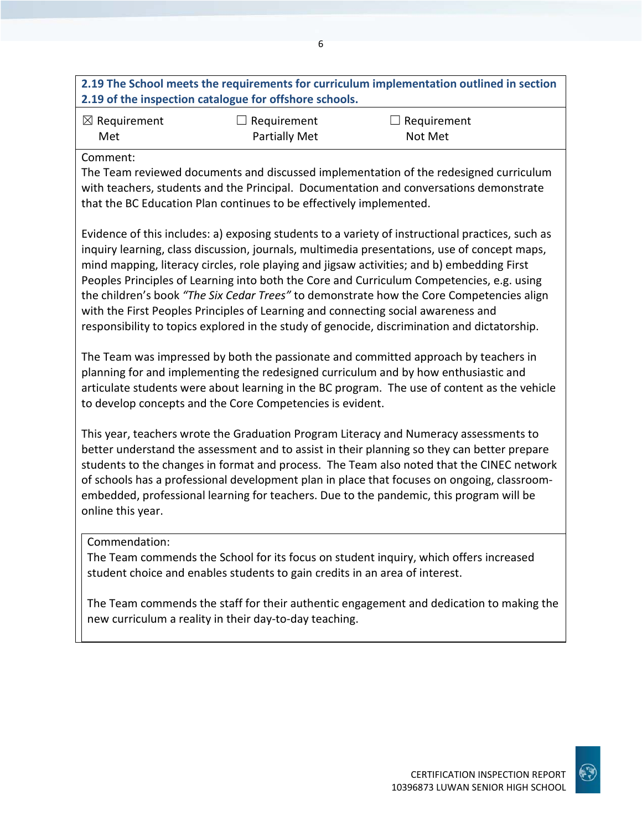### **2.19 The School meets the requirements for curriculum implementation outlined in section 2.19 of the inspection catalogue for offshore schools.**

| $\boxtimes$ Requirement | $\Box$ Requirement | $\Box$ Requirement |
|-------------------------|--------------------|--------------------|
| Met                     | Partially Met      | Not Met            |

### Comment:

The Team reviewed documents and discussed implementation of the redesigned curriculum with teachers, students and the Principal. Documentation and conversations demonstrate that the BC Education Plan continues to be effectively implemented.

Evidence of this includes: a) exposing students to a variety of instructional practices, such as inquiry learning, class discussion, journals, multimedia presentations, use of concept maps, mind mapping, literacy circles, role playing and jigsaw activities; and b) embedding First Peoples Principles of Learning into both the Core and Curriculum Competencies, e.g. using the children's book *"The Six Cedar Trees"* to demonstrate how the Core Competencies align with the First Peoples Principles of Learning and connecting social awareness and responsibility to topics explored in the study of genocide, discrimination and dictatorship.

The Team was impressed by both the passionate and committed approach by teachers in planning for and implementing the redesigned curriculum and by how enthusiastic and articulate students were about learning in the BC program. The use of content as the vehicle to develop concepts and the Core Competencies is evident.

This year, teachers wrote the Graduation Program Literacy and Numeracy assessments to better understand the assessment and to assist in their planning so they can better prepare students to the changes in format and process. The Team also noted that the CINEC network of schools has a professional development plan in place that focuses on ongoing, classroomembedded, professional learning for teachers. Due to the pandemic, this program will be online this year.

### Commendation:

The Team commends the School for its focus on student inquiry, which offers increased student choice and enables students to gain credits in an area of interest.

The Team commends the staff for their authentic engagement and dedication to making the new curriculum a reality in their day-to-day teaching.

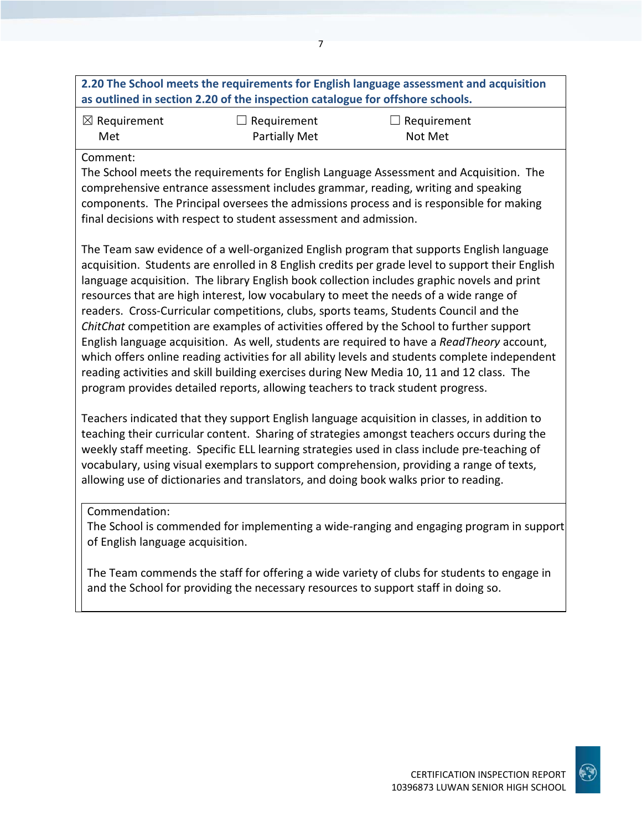### **2.20 The School meets the requirements for English language assessment and acquisition as outlined in section 2.20 of the inspection catalogue for offshore schools.**

| $\boxtimes$ Requirement | $\Box$ Requirement | $\Box$ Requirement |
|-------------------------|--------------------|--------------------|
| Met                     | Partially Met      | Not Met            |

### Comment:

The School meets the requirements for English Language Assessment and Acquisition. The comprehensive entrance assessment includes grammar, reading, writing and speaking components. The Principal oversees the admissions process and is responsible for making final decisions with respect to student assessment and admission.

The Team saw evidence of a well-organized English program that supports English language acquisition. Students are enrolled in 8 English credits per grade level to support their English language acquisition. The library English book collection includes graphic novels and print resources that are high interest, low vocabulary to meet the needs of a wide range of readers. Cross-Curricular competitions, clubs, sports teams, Students Council and the *ChitChat* competition are examples of activities offered by the School to further support English language acquisition. As well, students are required to have a *ReadTheory* account, which offers online reading activities for all ability levels and students complete independent reading activities and skill building exercises during New Media 10, 11 and 12 class. The program provides detailed reports, allowing teachers to track student progress.

Teachers indicated that they support English language acquisition in classes, in addition to teaching their curricular content. Sharing of strategies amongst teachers occurs during the weekly staff meeting. Specific ELL learning strategies used in class include pre-teaching of vocabulary, using visual exemplars to support comprehension, providing a range of texts, allowing use of dictionaries and translators, and doing book walks prior to reading.

### Commendation:

The School is commended for implementing a wide-ranging and engaging program in support of English language acquisition.

The Team commends the staff for offering a wide variety of clubs for students to engage in and the School for providing the necessary resources to support staff in doing so.

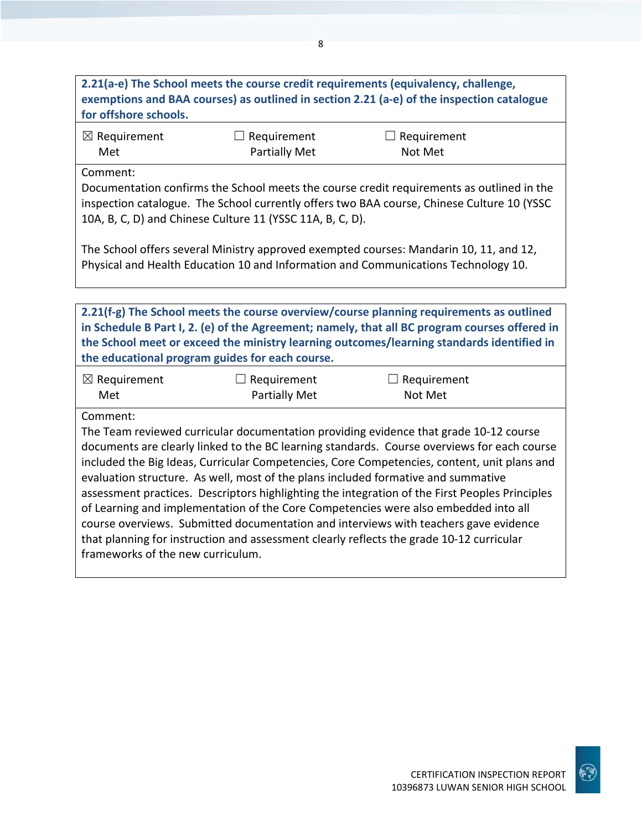### **2.21(a-e) The School meets the course credit requirements (equivalency, challenge, exemptions and BAA courses) as outlined in section 2.21 (a-e) of the inspection catalogue for offshore schools.**

| $\boxtimes$ Requirement | $\Box$ Requirement | $\Box$ Requirement |
|-------------------------|--------------------|--------------------|
| Met                     | Partially Met      | Not Met            |

Comment:

Documentation confirms the School meets the course credit requirements as outlined in the inspection catalogue. The School currently offers two BAA course, Chinese Culture 10 (YSSC 10A, B, C, D) and Chinese Culture 11 (YSSC 11A, B, C, D).

The School offers several Ministry approved exempted courses: Mandarin 10, 11, and 12, Physical and Health Education 10 and Information and Communications Technology 10.

**2.21(f-g) The School meets the course overview/course planning requirements as outlined in Schedule B Part I, 2. (e) of the Agreement; namely, that all BC program courses offered in the School meet or exceed the ministry learning outcomes/learning standards identified in the educational program guides for each course.**

| $\boxtimes$ Requirement | $\Box$ Requirement | $\Box$ Requirement |
|-------------------------|--------------------|--------------------|
| Met                     | Partially Met      | Not Met            |

Comment:

The Team reviewed curricular documentation providing evidence that grade 10-12 course documents are clearly linked to the BC learning standards. Course overviews for each course included the Big Ideas, Curricular Competencies, Core Competencies, content, unit plans and evaluation structure. As well, most of the plans included formative and summative assessment practices. Descriptors highlighting the integration of the First Peoples Principles of Learning and implementation of the Core Competencies were also embedded into all course overviews. Submitted documentation and interviews with teachers gave evidence that planning for instruction and assessment clearly reflects the grade 10-12 curricular frameworks of the new curriculum.

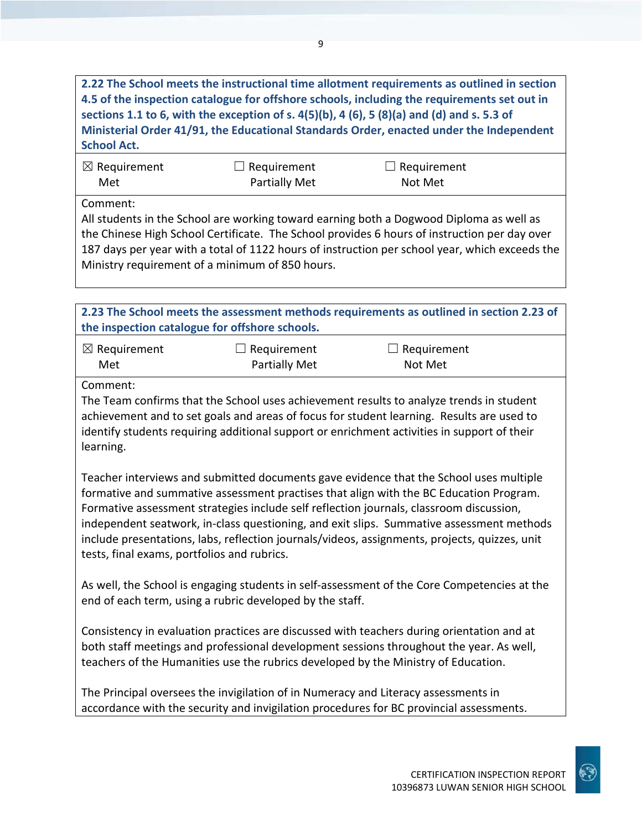**2.22 The School meets the instructional time allotment requirements as outlined in section 4.5 of the inspection catalogue for offshore schools, including the requirements set out in sections 1.1 to 6, with the exception of s. 4(5)(b), 4 (6), 5 (8)(a) and (d) and s. 5.3 of Ministerial Order 41/91, the Educational Standards Order, enacted under the Independent School Act.**

| $\boxtimes$ Requirement | $\Box$ Requirement | $\Box$ Requirement |
|-------------------------|--------------------|--------------------|
| Met                     | Partially Met      | Not Met            |

Comment:

All students in the School are working toward earning both a Dogwood Diploma as well as the Chinese High School Certificate. The School provides 6 hours of instruction per day over 187 days per year with a total of 1122 hours of instruction per school year, which exceeds the Ministry requirement of a minimum of 850 hours.

**2.23 The School meets the assessment methods requirements as outlined in section 2.23 of the inspection catalogue for offshore schools.**

| $\boxtimes$ Requirement | $\Box$ Requirement | $\Box$ Requirement |
|-------------------------|--------------------|--------------------|
| Met                     | Partially Met      | Not Met            |

Comment:

The Team confirms that the School uses achievement results to analyze trends in student achievement and to set goals and areas of focus for student learning. Results are used to identify students requiring additional support or enrichment activities in support of their learning.

Teacher interviews and submitted documents gave evidence that the School uses multiple formative and summative assessment practises that align with the BC Education Program. Formative assessment strategies include self reflection journals, classroom discussion, independent seatwork, in-class questioning, and exit slips. Summative assessment methods include presentations, labs, reflection journals/videos, assignments, projects, quizzes, unit tests, final exams, portfolios and rubrics.

As well, the School is engaging students in self-assessment of the Core Competencies at the end of each term, using a rubric developed by the staff.

Consistency in evaluation practices are discussed with teachers during orientation and at both staff meetings and professional development sessions throughout the year. As well, teachers of the Humanities use the rubrics developed by the Ministry of Education.

The Principal oversees the invigilation of in Numeracy and Literacy assessments in accordance with the security and invigilation procedures for BC provincial assessments.

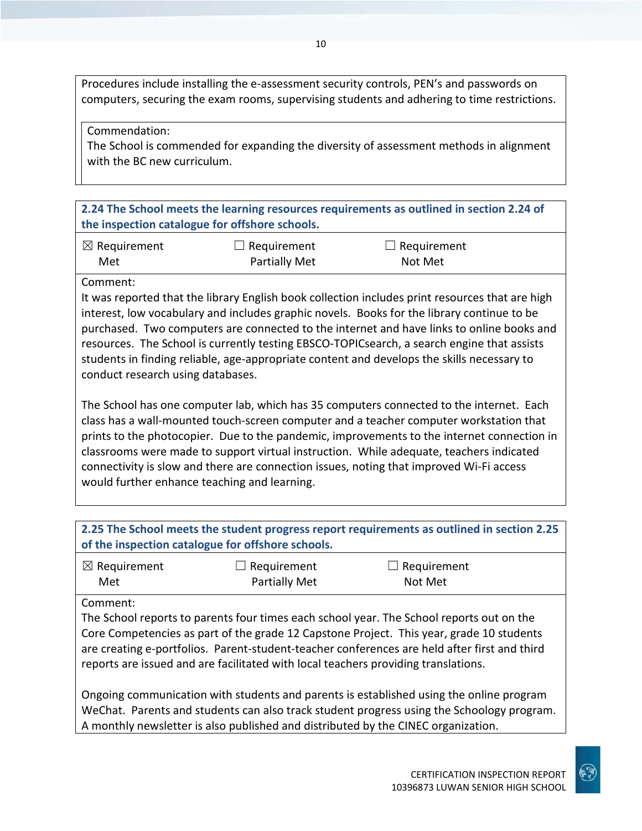Procedures include installing the e-assessment security controls, PEN's and passwords on computers, securing the exam rooms, supervising students and adhering to time restrictions.

### Commendation:

The School is commended for expanding the diversity of assessment methods in alignment with the BC new curriculum.

**2.24 The School meets the learning resources requirements as outlined in section 2.24 of the inspection catalogue for offshore schools.**

| $\boxtimes$ Requirement | $\Box$ Requirement | $\Box$ Requirement |
|-------------------------|--------------------|--------------------|
| Met                     | Partially Met      | Not Met            |

### Comment:

It was reported that the library English book collection includes print resources that are high interest, low vocabulary and includes graphic novels. Books for the library continue to be purchased. Two computers are connected to the internet and have links to online books and resources. The School is currently testing EBSCO-TOPICsearch, a search engine that assists students in finding reliable, age-appropriate content and develops the skills necessary to conduct research using databases.

The School has one computer lab, which has 35 computers connected to the internet. Each class has a wall-mounted touch-screen computer and a teacher computer workstation that prints to the photocopier. Due to the pandemic, improvements to the internet connection in classrooms were made to support virtual instruction. While adequate, teachers indicated connectivity is slow and there are connection issues, noting that improved Wi-Fi access would further enhance teaching and learning.

| 2.25 The School meets the student progress report requirements as outlined in section 2.25<br>of the inspection catalogue for offshore schools.                                                                                                                                                                                                                                        |                      |             |  |  |
|----------------------------------------------------------------------------------------------------------------------------------------------------------------------------------------------------------------------------------------------------------------------------------------------------------------------------------------------------------------------------------------|----------------------|-------------|--|--|
| $\boxtimes$ Requirement                                                                                                                                                                                                                                                                                                                                                                | Requirement          | Requirement |  |  |
| Met                                                                                                                                                                                                                                                                                                                                                                                    | <b>Partially Met</b> | Not Met     |  |  |
| Comment:<br>The School reports to parents four times each school year. The School reports out on the<br>Core Competencies as part of the grade 12 Capstone Project. This year, grade 10 students<br>are creating e-portfolios. Parent-student-teacher conferences are held after first and third<br>reports are issued and are facilitated with local teachers providing translations. |                      |             |  |  |
| Ongoing communication with students and parents is established using the online program<br>WeChat. Parents and students can also track student progress using the Schoology program.<br>A monthly newsletter is also published and distributed by the CINEC organization.                                                                                                              |                      |             |  |  |

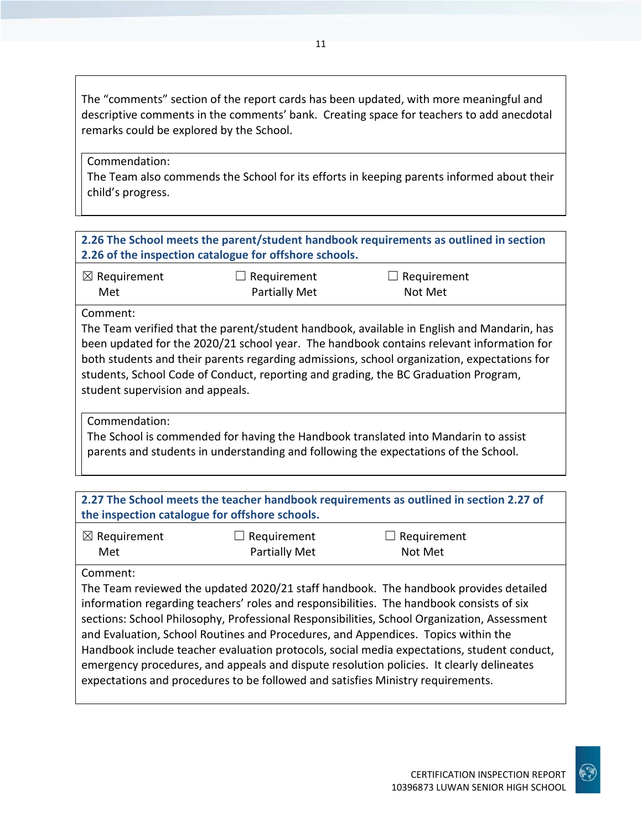The "comments" section of the report cards has been updated, with more meaningful and descriptive comments in the comments' bank. Creating space for teachers to add anecdotal remarks could be explored by the School.

#### Commendation:

The Team also commends the School for its efforts in keeping parents informed about their child's progress.

### **2.26 The School meets the parent/student handbook requirements as outlined in section 2.26 of the inspection catalogue for offshore schools.**

| $\boxtimes$ Requirement | $\Box$ Requirement | $\Box$ Requirement |
|-------------------------|--------------------|--------------------|
| Met                     | Partially Met      | Not Met            |

#### Comment:

The Team verified that the parent/student handbook, available in English and Mandarin, has been updated for the 2020/21 school year. The handbook contains relevant information for both students and their parents regarding admissions, school organization, expectations for students, School Code of Conduct, reporting and grading, the BC Graduation Program, student supervision and appeals.

Commendation:

The School is commended for having the Handbook translated into Mandarin to assist parents and students in understanding and following the expectations of the School.

| 2.27 The School meets the teacher handbook requirements as outlined in section 2.27 of<br>the inspection catalogue for offshore schools. |                                                                                 |                                                                                                                                                                                                                                                                                                                                                                                                                                                                                                                                                                |  |  |
|------------------------------------------------------------------------------------------------------------------------------------------|---------------------------------------------------------------------------------|----------------------------------------------------------------------------------------------------------------------------------------------------------------------------------------------------------------------------------------------------------------------------------------------------------------------------------------------------------------------------------------------------------------------------------------------------------------------------------------------------------------------------------------------------------------|--|--|
| $\boxtimes$ Requirement<br>Met                                                                                                           | Requirement<br>Partially Met                                                    | $\Box$ Requirement<br>Not Met                                                                                                                                                                                                                                                                                                                                                                                                                                                                                                                                  |  |  |
| Comment:                                                                                                                                 | expectations and procedures to be followed and satisfies Ministry requirements. | The Team reviewed the updated 2020/21 staff handbook. The handbook provides detailed<br>information regarding teachers' roles and responsibilities. The handbook consists of six<br>sections: School Philosophy, Professional Responsibilities, School Organization, Assessment<br>and Evaluation, School Routines and Procedures, and Appendices. Topics within the<br>Handbook include teacher evaluation protocols, social media expectations, student conduct,<br>emergency procedures, and appeals and dispute resolution policies. It clearly delineates |  |  |

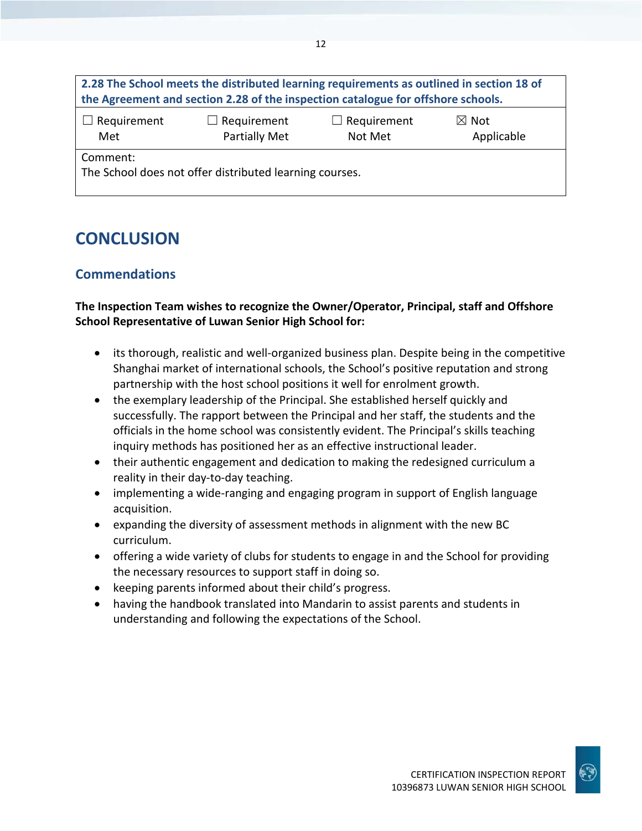| 2.28 The School meets the distributed learning requirements as outlined in section 18 of<br>the Agreement and section 2.28 of the inspection catalogue for offshore schools. |                                     |                               |                               |  |  |
|------------------------------------------------------------------------------------------------------------------------------------------------------------------------------|-------------------------------------|-------------------------------|-------------------------------|--|--|
| $\Box$ Requirement<br>Met                                                                                                                                                    | $\Box$ Requirement<br>Partially Met | $\Box$ Requirement<br>Not Met | $\boxtimes$ Not<br>Applicable |  |  |
| Comment:<br>The School does not offer distributed learning courses.                                                                                                          |                                     |                               |                               |  |  |

## **CONCLUSION**

### **Commendations**

### **The Inspection Team wishes to recognize the Owner/Operator, Principal, staff and Offshore School Representative of Luwan Senior High School for:**

- its thorough, realistic and well-organized business plan. Despite being in the competitive Shanghai market of international schools, the School's positive reputation and strong partnership with the host school positions it well for enrolment growth.
- the exemplary leadership of the Principal. She established herself quickly and successfully. The rapport between the Principal and her staff, the students and the officials in the home school was consistently evident. The Principal's skills teaching inquiry methods has positioned her as an effective instructional leader.
- their authentic engagement and dedication to making the redesigned curriculum a reality in their day-to-day teaching.
- implementing a wide-ranging and engaging program in support of English language acquisition.
- expanding the diversity of assessment methods in alignment with the new BC curriculum.
- offering a wide variety of clubs for students to engage in and the School for providing the necessary resources to support staff in doing so.
- keeping parents informed about their child's progress.
- having the handbook translated into Mandarin to assist parents and students in understanding and following the expectations of the School.